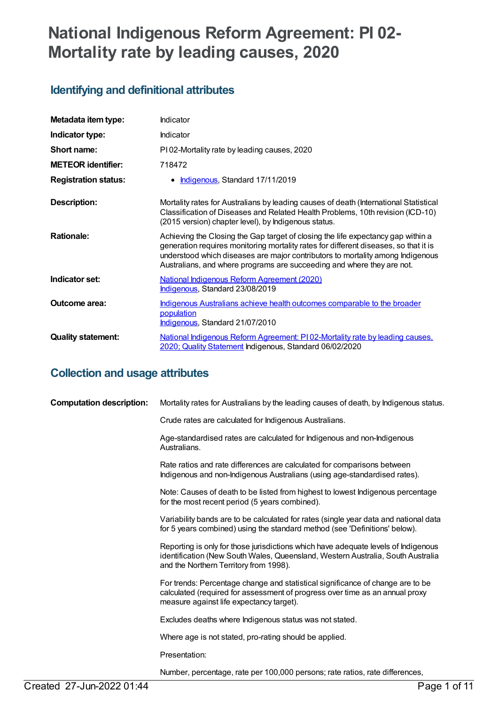# **National Indigenous Reform Agreement: PI 02- Mortality rate by leading causes, 2020**

## **Identifying and definitional attributes**

| Metadata item type:         | Indicator                                                                                                                                                                                                                                                                                                                            |
|-----------------------------|--------------------------------------------------------------------------------------------------------------------------------------------------------------------------------------------------------------------------------------------------------------------------------------------------------------------------------------|
| Indicator type:             | Indicator                                                                                                                                                                                                                                                                                                                            |
| Short name:                 | PI02-Mortality rate by leading causes, 2020                                                                                                                                                                                                                                                                                          |
| <b>METEOR identifier:</b>   | 718472                                                                                                                                                                                                                                                                                                                               |
| <b>Registration status:</b> | Indigenous, Standard 17/11/2019<br>٠                                                                                                                                                                                                                                                                                                 |
| <b>Description:</b>         | Mortality rates for Australians by leading causes of death (International Statistical<br>Classification of Diseases and Related Health Problems, 10th revision (ICD-10)<br>(2015 version) chapter level), by Indigenous status.                                                                                                      |
| <b>Rationale:</b>           | Achieving the Closing the Gap target of closing the life expectancy gap within a<br>generation requires monitoring mortality rates for different diseases, so that it is<br>understood which diseases are major contributors to mortality among Indigenous<br>Australians, and where programs are succeeding and where they are not. |
| Indicator set:              | <b>National Indigenous Reform Agreement (2020)</b><br>Indigenous, Standard 23/08/2019                                                                                                                                                                                                                                                |
| Outcome area:               | Indigenous Australians achieve health outcomes comparable to the broader<br>population<br>Indigenous, Standard 21/07/2010                                                                                                                                                                                                            |
| <b>Quality statement:</b>   | National Indigenous Reform Agreement: PI02-Mortality rate by leading causes.<br>2020; Quality Statement Indigenous, Standard 06/02/2020                                                                                                                                                                                              |

## **Collection and usage attributes**

| <b>Computation description:</b> | Mortality rates for Australians by the leading causes of death, by Indigenous status.                                                                                                                           |
|---------------------------------|-----------------------------------------------------------------------------------------------------------------------------------------------------------------------------------------------------------------|
|                                 | Crude rates are calculated for Indigenous Australians.                                                                                                                                                          |
|                                 | Age-standardised rates are calculated for Indigenous and non-Indigenous<br>Australians.                                                                                                                         |
|                                 | Rate ratios and rate differences are calculated for comparisons between<br>Indigenous and non-Indigenous Australians (using age-standardised rates).                                                            |
|                                 | Note: Causes of death to be listed from highest to lowest Indigenous percentage<br>for the most recent period (5 years combined).                                                                               |
|                                 | Variability bands are to be calculated for rates (single year data and national data<br>for 5 years combined) using the standard method (see 'Definitions' below).                                              |
|                                 | Reporting is only for those jurisdictions which have adequate levels of Indigenous<br>identification (New South Wales, Queensland, Western Australia, South Australia<br>and the Northern Territory from 1998). |
|                                 | For trends: Percentage change and statistical significance of change are to be<br>calculated (required for assessment of progress over time as an annual proxy<br>measure against life expectancy target).      |
|                                 | Excludes deaths where Indigenous status was not stated.                                                                                                                                                         |
|                                 | Where age is not stated, pro-rating should be applied.                                                                                                                                                          |
|                                 | Presentation:                                                                                                                                                                                                   |
|                                 | Number, percentage, rate per 100,000 persons; rate ratios, rate differences,                                                                                                                                    |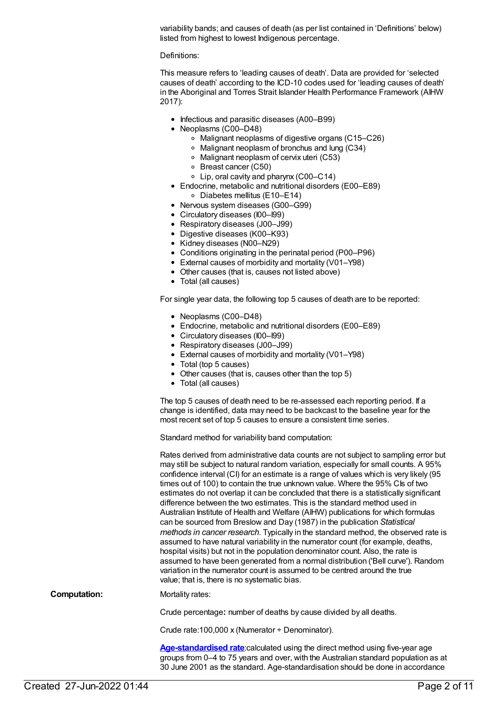variability bands; and causes of death (as per list contained in 'Definitions' below) listed from highest to lowest Indigenous percentage.

Definitions:

This measure refers to 'leading causes of death'. Data are provided for 'selected causes of death' according to the ICD-10 codes used for 'leading causes of death' in the Aboriginal and Torres Strait Islander Health Performance Framework (AIHW 2017):

- Infectious and parasitic diseases (A00–B99)
- Neoplasms (C00–D48)
	- Malignant neoplasms of digestive organs (C15–C26)
	- Malignant neoplasm of bronchus and lung (C34)
	- Malignant neoplasm of cervix uteri (C53)
	- Breast cancer (C50)
	- Lip, oral cavity and pharynx (C00–C14)
- Endocrine, metabolic and nutritional disorders (E00–E89)
	- Diabetes mellitus (E10–E14)
- Nervous system diseases (G00-G99)
- Circulatory diseases (I00–I99)
- Respiratory diseases (J00–J99)
- Digestive diseases (K00–K93)
- Kidney diseases (N00-N29)
- Conditions originating in the perinatal period (P00–P96)
- External causes of morbidity and mortality (V01–Y98)
- Other causes (that is, causes not listed above)
- Total (all causes)

For single year data, the following top 5 causes of death are to be reported:

- Neoplasms (C00–D48)
- Endocrine, metabolic and nutritional disorders (E00–E89)
- Circulatory diseases (I00–I99)
- Respiratory diseases (J00-J99)
- External causes of morbidity and mortality (V01–Y98)
- Total (top 5 causes)
- Other causes (that is, causes other than the top 5)
- Total (all causes)

The top 5 causes of death need to be re-assessed each reporting period. If a change is identified, data may need to be backcast to the baseline year for the most recent set of top 5 causes to ensure a consistent time series.

Standard method for variability band computation:

|                     | Rates derived from administrative data counts are not subject to sampling error but<br>may still be subject to natural random variation, especially for small counts. A 95%<br>confidence interval (CI) for an estimate is a range of values which is very likely (95<br>times out of 100) to contain the true unknown value. Where the 95% CIs of two<br>estimates do not overlap it can be concluded that there is a statistically significant<br>difference between the two estimates. This is the standard method used in<br>Australian Institute of Health and Welfare (AIHW) publications for which formulas<br>can be sourced from Breslow and Day (1987) in the publication Statistical<br>methods in cancer research. Typically in the standard method, the observed rate is<br>assumed to have natural variability in the numerator count (for example, deaths,<br>hospital visits) but not in the population denominator count. Also, the rate is<br>assumed to have been generated from a normal distribution ('Bell curve'). Random<br>variation in the numerator count is assumed to be centred around the true<br>value; that is, there is no systematic bias. |
|---------------------|-------------------------------------------------------------------------------------------------------------------------------------------------------------------------------------------------------------------------------------------------------------------------------------------------------------------------------------------------------------------------------------------------------------------------------------------------------------------------------------------------------------------------------------------------------------------------------------------------------------------------------------------------------------------------------------------------------------------------------------------------------------------------------------------------------------------------------------------------------------------------------------------------------------------------------------------------------------------------------------------------------------------------------------------------------------------------------------------------------------------------------------------------------------------------------|
| <b>Computation:</b> | Mortality rates:                                                                                                                                                                                                                                                                                                                                                                                                                                                                                                                                                                                                                                                                                                                                                                                                                                                                                                                                                                                                                                                                                                                                                              |
|                     | Crude percentage: number of deaths by cause divided by all deaths.                                                                                                                                                                                                                                                                                                                                                                                                                                                                                                                                                                                                                                                                                                                                                                                                                                                                                                                                                                                                                                                                                                            |
|                     | Crude rate: 100,000 x (Numerator $\div$ Denominator).                                                                                                                                                                                                                                                                                                                                                                                                                                                                                                                                                                                                                                                                                                                                                                                                                                                                                                                                                                                                                                                                                                                         |
|                     | A and real dealers and and an experience of the first and the relationship of the first state of the contract of                                                                                                                                                                                                                                                                                                                                                                                                                                                                                                                                                                                                                                                                                                                                                                                                                                                                                                                                                                                                                                                              |

**[Age-standardised](https://meteor.aihw.gov.au/content/327276) rate**:calculated using the direct method using five-year age groups from 0–4 to 75 years and over, with the Australian standard population as at 30 June 2001 as the standard. Age-standardisation should be done in accordance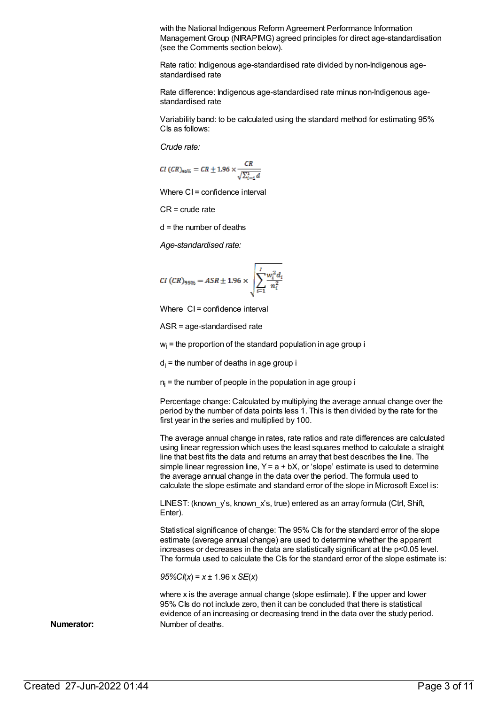with the National Indigenous Reform Agreement Performance Information Management Group (NIRAPIMG) agreed principles for direct age-standardisation (see the Comments section below).

Rate ratio: Indigenous age-standardised rate divided by non-Indigenous agestandardised rate

Rate difference: Indigenous age-standardised rate minus non-Indigenous agestandardised rate

Variability band: to be calculated using the standard method for estimating 95% CIs as follows:

*Crude rate:*

$$
CI\ (CR)_{95\%}=CR\pm1.96\times\frac{CR}{\sqrt{\Sigma_{i=1}^4d}}
$$

Where CI = confidence interval

CR = crude rate

d = the number of deaths

*Age-standardised rate:*

$$
CI (CR)_{95\%} = ASR \pm 1.96 \times \sqrt{\sum_{i=1}^{I} \frac{w_i^2 d_i}{n_i^2}}
$$

Where CI = confidence interval

ASR = age-standardised rate

 $w<sub>i</sub>$  = the proportion of the standard population in age group i

 $d_i$  = the number of deaths in age group i

 $n_i$  = the number of people in the population in age group i

Percentage change: Calculated by multiplying the average annual change over the period by the number of data points less 1. This is then divided by the rate for the first year in the series and multiplied by 100.

The average annual change in rates, rate ratios and rate differences are calculated using linear regression which uses the least squares method to calculate a straight line that best fits the data and returns an array that best describes the line. The simple linear regression line,  $Y = a + bX$ , or 'slope' estimate is used to determine the average annual change in the data over the period. The formula used to calculate the slope estimate and standard error of the slope in Microsoft Excel is:

LINEST: (known y's, known x's, true) entered as an array formula (Ctrl, Shift, Enter).

Statistical significance of change: The 95% CIs for the standard error of the slope estimate (average annual change) are used to determine whether the apparent increases or decreases in the data are statistically significant at the p<0.05 level. The formula used to calculate the CIs for the standard error of the slope estimate is:

*95%CI*(*x*) = *x* ± 1.96 x *SE*(*x*)

where x is the average annual change (slope estimate). If the upper and lower 95% CIs do not include zero, then it can be concluded that there is statistical evidence of an increasing or decreasing trend in the data over the study period. **Numerator:** Number of deaths.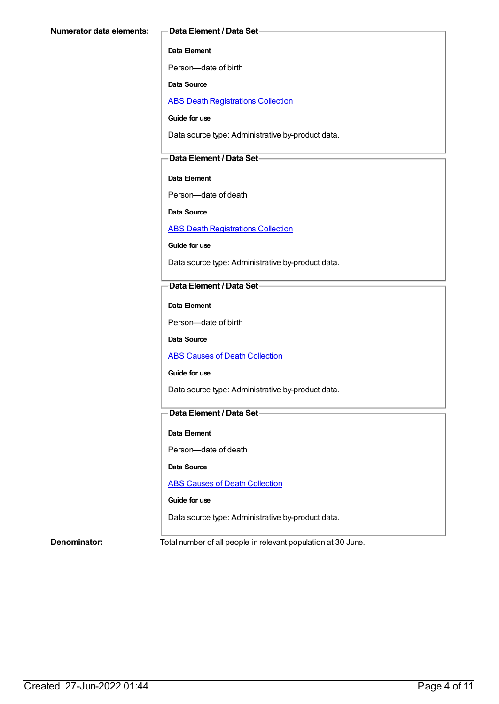#### **Data Element**

Person—date of birth

**Data Source**

ABS Death [Registrations](https://meteor.aihw.gov.au/content/394481) Collection

**Guide for use**

Data source type: Administrative by-product data.

#### **Data Element / Data Set**

**Data Element**

Person—date of death

**Data Source**

ABS Death [Registrations](https://meteor.aihw.gov.au/content/394481) Collection

**Guide for use**

Data source type: Administrative by-product data.

### **Data Element / Data Set**

**Data Element**

Person—date of birth

**Data Source**

**ABS Causes of Death [Collection](https://meteor.aihw.gov.au/content/394490)** 

#### **Guide for use**

Data source type: Administrative by-product data.

### **Data Element / Data Set**

#### **Data Element**

Person—date of death

**Data Source**

**ABS Causes of Death [Collection](https://meteor.aihw.gov.au/content/394490)** 

#### **Guide for use**

Data source type: Administrative by-product data.

**Denominator:** Total number of all people in relevant population at 30 June.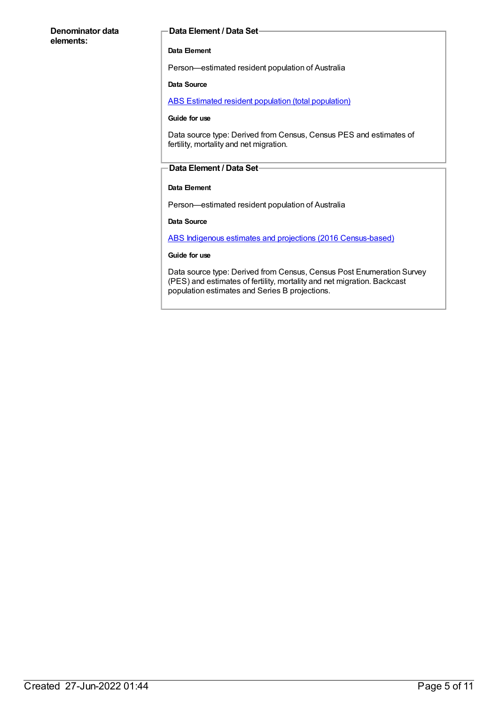#### **Denominator data elements:**

#### **Data Element / Data Set**

#### **Data Element**

Person—estimated resident population of Australia

#### **Data Source**

ABS Estimated resident population (total [population\)](https://meteor.aihw.gov.au/content/393625)

#### **Guide for use**

Data source type: Derived from Census, Census PES and estimates of fertility, mortality and net migration.

#### **Data Element / Data Set**

#### **Data Element**

Person—estimated resident population of Australia

#### **Data Source**

ABS Indigenous estimates and projections (2016 [Census-based\)](https://meteor.aihw.gov.au/content/719790)

#### **Guide for use**

Data source type: Derived from Census, Census Post Enumeration Survey (PES) and estimates of fertility, mortality and net migration. Backcast population estimates and Series B projections.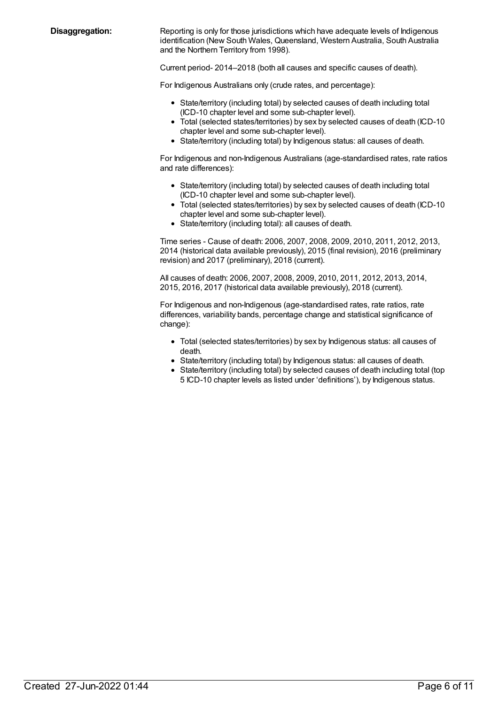**Disaggregation:** Reporting is only for those jurisdictions which have adequate levels of Indigenous identification (New South Wales, Queensland, Western Australia, South Australia and the Northern Territory from 1998).

Current period- 2014–2018 (both all causes and specific causes of death).

For Indigenous Australians only (crude rates, and percentage):

- State/territory (including total) by selected causes of death including total (ICD-10 chapter level and some sub-chapter level).
- Total (selected states/territories) by sex by selected causes of death (ICD-10 chapter level and some sub-chapter level).
- State/territory (including total) by Indigenous status: all causes of death.

For Indigenous and non-Indigenous Australians (age-standardised rates, rate ratios and rate differences):

- State/territory (including total) by selected causes of death including total (ICD-10 chapter level and some sub-chapter level).
- Total (selected states/territories) by sex by selected causes of death (ICD-10 chapter level and some sub-chapter level).
- State/territory (including total): all causes of death.

Time series - Cause of death: 2006, 2007, 2008, 2009, 2010, 2011, 2012, 2013, 2014 (historical data available previously), 2015 (final revision), 2016 (preliminary revision) and 2017 (preliminary), 2018 (current).

All causes of death: 2006, 2007, 2008, 2009, 2010, 2011, 2012, 2013, 2014, 2015, 2016, 2017 (historical data available previously), 2018 (current).

For Indigenous and non-Indigenous (age-standardised rates, rate ratios, rate differences, variability bands, percentage change and statistical significance of change):

- Total (selected states/territories) by sex by Indigenous status: all causes of death.
- State/territory (including total) by Indigenous status: all causes of death.
- State/territory (including total) by selected causes of death including total (top 5 ICD-10 chapter levels as listed under 'definitions'), by Indigenous status.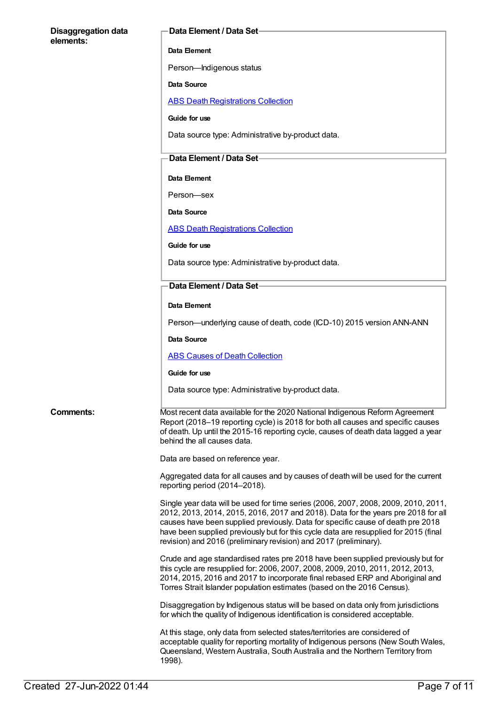## **Disaggregation data elements: Data Element / Data Set Data Element** Person—Indigenous status **Data Source** ABS Death [Registrations](https://meteor.aihw.gov.au/content/394481) Collection **Guide for use** Data source type: Administrative by-product data. **Data Element / Data Set Data Element** Person—sex **Data Source** ABS Death [Registrations](https://meteor.aihw.gov.au/content/394481) Collection **Guide for use** Data source type: Administrative by-product data. **Data Element / Data Set Data Element** Person—underlying cause of death, code (ICD-10) 2015 version ANN-ANN **Data Source** ABS Causes of Death [Collection](https://meteor.aihw.gov.au/content/394490) **Guide for use** Data source type: Administrative by-product data. **Comments:** Most recent data available for the 2020 National Indigenous Reform Agreement Report (2018–19 reporting cycle) is 2018 for both all causes and specific causes of death. Up until the 2015-16 reporting cycle, causes of death data lagged a year behind the all causes data. Data are based on reference year. Aggregated data for all causes and by causes of death will be used for the current reporting period (2014–2018). Single year data will be used for time series (2006, 2007, 2008, 2009, 2010, 2011, 2012, 2013, 2014, 2015, 2016, 2017 and 2018). Data for the years pre 2018 for all causes have been supplied previously. Data for specific cause of death pre 2018 have been supplied previously but for this cycle data are resupplied for 2015 (final revision) and 2016 (preliminary revision) and 2017 (preliminary). Crude and age standardised rates pre 2018 have been supplied previously but for this cycle are resupplied for: 2006, 2007, 2008, 2009, 2010, 2011, 2012, 2013, 2014, 2015, 2016 and 2017 to incorporate final rebased ERP and Aboriginal and Torres Strait Islander population estimates (based on the 2016 Census). Disaggregation by Indigenous status will be based on data only from jurisdictions for which the quality of Indigenous identification is considered acceptable. At this stage, only data from selected states/territories are considered of acceptable quality for reporting mortality of Indigenous persons (New South Wales, Queensland, Western Australia, South Australia and the Northern Territory from

1998).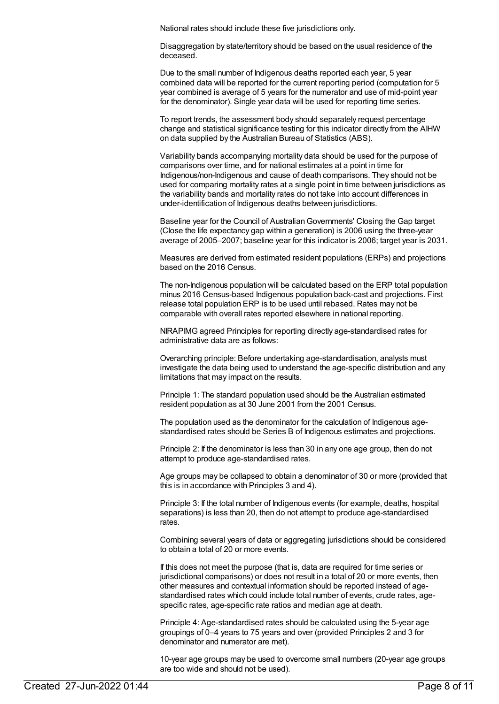National rates should include these five jurisdictions only.

Disaggregation by state/territory should be based on the usual residence of the deceased.

Due to the small number of Indigenous deaths reported each year, 5 year combined data will be reported for the current reporting period (computation for 5 year combined is average of 5 years for the numerator and use of mid-point year for the denominator). Single year data will be used for reporting time series.

To report trends, the assessment body should separately request percentage change and statistical significance testing for this indicator directly from the AIHW on data supplied by the Australian Bureau of Statistics (ABS).

Variability bands accompanying mortality data should be used for the purpose of comparisons over time, and for national estimates at a point in time for Indigenous/non-Indigenous and cause of death comparisons. They should not be used for comparing mortality rates at a single point in time between jurisdictions as the variability bands and mortality rates do not take into account differences in under-identification of Indigenous deaths between jurisdictions.

Baseline year for the Council of AustralianGovernments' Closing the Gap target (Close the life expectancy gap within a generation) is 2006 using the three-year average of 2005–2007; baseline year for this indicator is 2006; target year is 2031.

Measures are derived from estimated resident populations (ERPs) and projections based on the 2016 Census.

The non-Indigenous population will be calculated based on the ERP total population minus 2016 Census-based Indigenous population back-cast and projections. First release total population ERP is to be used until rebased. Rates may not be comparable with overall rates reported elsewhere in national reporting.

NIRAPIMG agreed Principles for reporting directly age-standardised rates for administrative data are as follows:

Overarching principle: Before undertaking age-standardisation, analysts must investigate the data being used to understand the age-specific distribution and any limitations that may impact on the results.

Principle 1: The standard population used should be the Australian estimated resident population as at 30 June 2001 from the 2001 Census.

The population used as the denominator for the calculation of Indigenous agestandardised rates should be Series B of Indigenous estimates and projections.

Principle 2: If the denominator is less than 30 in any one age group, then do not attempt to produce age-standardised rates.

Age groups may be collapsed to obtain a denominator of 30 or more (provided that this is in accordance with Principles 3 and 4).

Principle 3: If the total number of Indigenous events (for example, deaths, hospital separations) is less than 20, then do not attempt to produce age-standardised rates.

Combining several years of data or aggregating jurisdictions should be considered to obtain a total of 20 or more events.

If this does not meet the purpose (that is, data are required for time series or jurisdictional comparisons) or does not result in a total of 20 or more events, then other measures and contextual information should be reported instead of agestandardised rates which could include total number of events, crude rates, agespecific rates, age-specific rate ratios and median age at death.

Principle 4: Age-standardised rates should be calculated using the 5-year age groupings of 0–4 years to 75 years and over (provided Principles 2 and 3 for denominator and numerator are met).

10-year age groups may be used to overcome small numbers (20-year age groups are too wide and should not be used).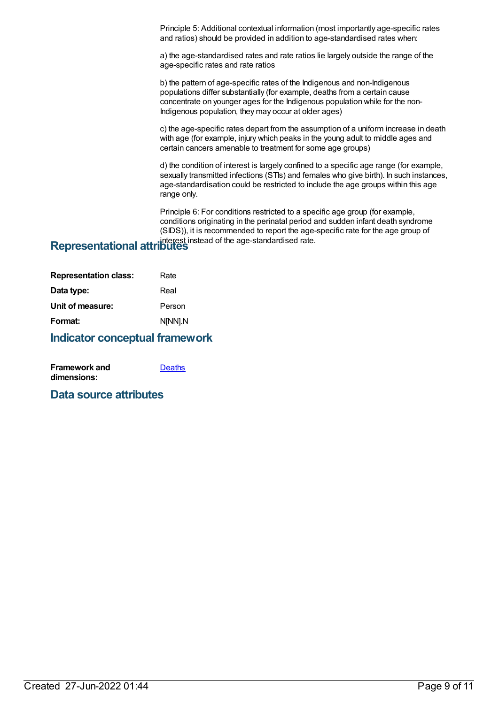Principle 5: Additional contextual information (most importantly age-specific rates and ratios) should be provided in addition to age-standardised rates when:

a) the age-standardised rates and rate ratios lie largely outside the range of the age-specific rates and rate ratios

b) the pattern of age-specific rates of the Indigenous and non-Indigenous populations differ substantially (for example, deaths from a certain cause concentrate on younger ages for the Indigenous population while for the non-Indigenous population, they may occur at older ages)

c) the age-specific rates depart from the assumption of a uniform increase in death with age (for example, injury which peaks in the young adult to middle ages and certain cancers amenable to treatment for some age groups)

d) the condition of interest is largely confined to a specific age range (for example, sexually transmitted infections (STIs) and females who give birth). In such instances, age-standardisation could be restricted to include the age groups within this age range only.

Principle 6: For conditions restricted to a specific age group (for example, conditions originating in the perinatal period and sudden infant death syndrome (SIDS)), it is recommended to report the age-specific rate for the age group of interest instead of the age-standardised rate. **Representational attributes**

| <b>Representation class:</b> | Rate    |
|------------------------------|---------|
| Data type:                   | Real    |
| Unit of measure:             | Person  |
| Format:                      | N[NN].N |
|                              |         |

### **Indicator conceptual framework**

| <b>Framework and</b> | <b>Deaths</b> |
|----------------------|---------------|
| dimensions:          |               |

### **Data source attributes**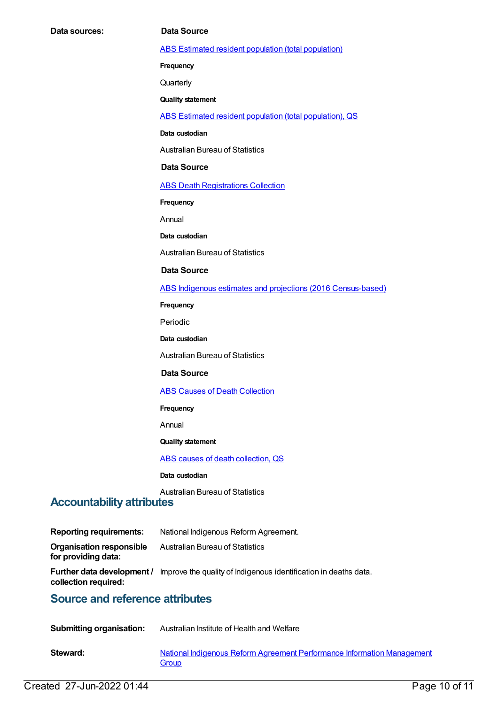ABS Estimated resident population (total [population\)](https://meteor.aihw.gov.au/content/393625)

**Frequency**

**Quarterly** 

**Quality statement**

ABS Estimated resident population (total [population\),](https://meteor.aihw.gov.au/content/449216) QS

**Data custodian**

Australian Bureau of Statistics

#### **Data Source**

**ABS Death [Registrations](https://meteor.aihw.gov.au/content/394481) Collection** 

**Frequency**

Annual

**Data custodian**

Australian Bureau of Statistics

#### **Data Source**

ABS Indigenous estimates and projections (2016 [Census-based\)](https://meteor.aihw.gov.au/content/719790)

**Frequency**

Periodic

**Data custodian**

Australian Bureau of Statistics

#### **Data Source**

**ABS Causes of Death [Collection](https://meteor.aihw.gov.au/content/394490)** 

**Frequency**

Annual

### **Quality statement**

ABS causes of death [collection,](https://meteor.aihw.gov.au/content/449206) QS

**Data custodian**

Australian Bureau of Statistics

### **Accountability attributes**

| <b>Reporting requirements:</b>                         | National Indigenous Reform Agreement.                                                              |
|--------------------------------------------------------|----------------------------------------------------------------------------------------------------|
| <b>Organisation responsible</b><br>for providing data: | <b>Australian Bureau of Statistics</b>                                                             |
| collection required:                                   | <b>Further data development /</b> Improve the quality of Indigenous identification in deaths data. |
| <b>Source and reference attributes</b>                 |                                                                                                    |

# **Submitting organisation:** Australian Institute of Health and Welfare

| Steward: | National Indigenous Reform Agreement Performance Information Management |
|----------|-------------------------------------------------------------------------|
|          | Group                                                                   |